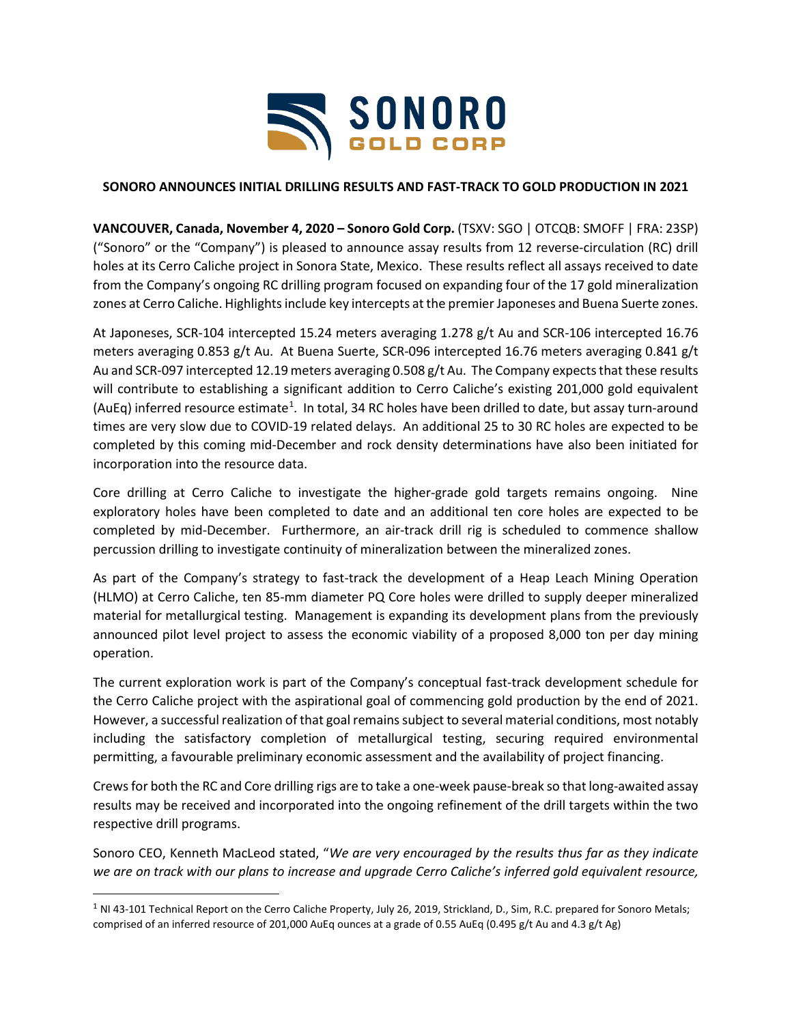

# **SONORO ANNOUNCES INITIAL DRILLING RESULTS AND FAST-TRACK TO GOLD PRODUCTION IN 2021**

**VANCOUVER, Canada, November 4, 2020 – Sonoro Gold Corp.** (TSXV: SGO | OTCQB: SMOFF | FRA: 23SP) ("Sonoro" or the "Company") is pleased to announce assay results from 12 reverse-circulation (RC) drill holes at its Cerro Caliche project in Sonora State, Mexico. These results reflect all assays received to date from the Company's ongoing RC drilling program focused on expanding four of the 17 gold mineralization zones at Cerro Caliche. Highlights include key intercepts at the premier Japoneses and Buena Suerte zones.

At Japoneses, SCR-104 intercepted 15.24 meters averaging 1.278 g/t Au and SCR-106 intercepted 16.76 meters averaging 0.853 g/t Au. At Buena Suerte, SCR-096 intercepted 16.76 meters averaging 0.841 g/t Au and SCR-097 intercepted 12.19 meters averaging 0.508 g/t Au. The Company expects that these results will contribute to establishing a significant addition to Cerro Caliche's existing 201,000 gold equivalent (AuEq) inferred resource estimate<sup>[1](#page-0-0)</sup>. In total, 34 RC holes have been drilled to date, but assay turn-around times are very slow due to COVID-19 related delays. An additional 25 to 30 RC holes are expected to be completed by this coming mid-December and rock density determinations have also been initiated for incorporation into the resource data.

Core drilling at Cerro Caliche to investigate the higher-grade gold targets remains ongoing. Nine exploratory holes have been completed to date and an additional ten core holes are expected to be completed by mid-December. Furthermore, an air-track drill rig is scheduled to commence shallow percussion drilling to investigate continuity of mineralization between the mineralized zones.

As part of the Company's strategy to fast-track the development of a Heap Leach Mining Operation (HLMO) at Cerro Caliche, ten 85-mm diameter PQ Core holes were drilled to supply deeper mineralized material for metallurgical testing. Management is expanding its development plans from the previously announced pilot level project to assess the economic viability of a proposed 8,000 ton per day mining operation.

The current exploration work is part of the Company's conceptual fast-track development schedule for the Cerro Caliche project with the aspirational goal of commencing gold production by the end of 2021. However, a successful realization of that goal remains subject to several material conditions, most notably including the satisfactory completion of metallurgical testing, securing required environmental permitting, a favourable preliminary economic assessment and the availability of project financing.

Crews for both the RC and Core drilling rigs are to take a one-week pause-break so that long-awaited assay results may be received and incorporated into the ongoing refinement of the drill targets within the two respective drill programs.

Sonoro CEO, Kenneth MacLeod stated, "*We are very encouraged by the results thus far as they indicate we are on track with our plans to increase and upgrade Cerro Caliche's inferred gold equivalent resource,* 

<span id="page-0-0"></span> $1$  NI 43-101 Technical Report on the Cerro Caliche Property, July 26, 2019, Strickland, D., Sim, R.C. prepared for Sonoro Metals; comprised of an inferred resource of 201,000 AuEq ounces at a grade of 0.55 AuEq (0.495 g/t Au and 4.3 g/t Ag)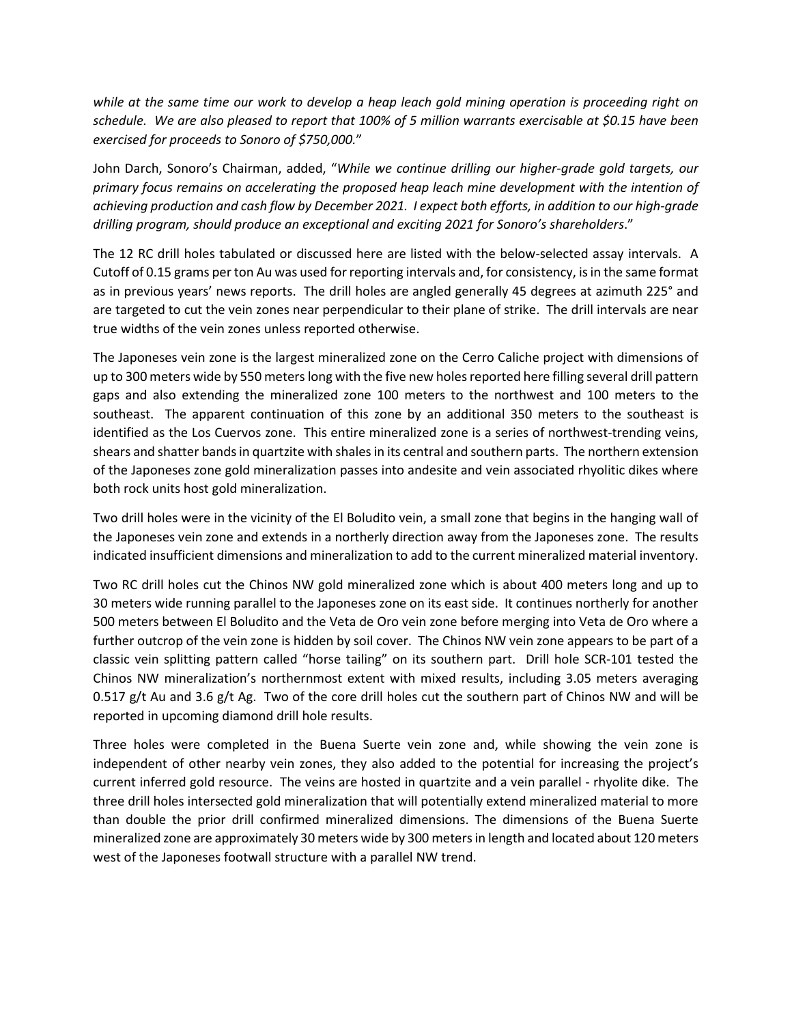*while at the same time our work to develop a heap leach gold mining operation is proceeding right on schedule. We are also pleased to report that 100% of 5 million warrants exercisable at \$0.15 have been exercised for proceeds to Sonoro of \$750,000.*"

John Darch, Sonoro's Chairman, added, "*While we continue drilling our higher-grade gold targets, our primary focus remains on accelerating the proposed heap leach mine development with the intention of achieving production and cash flow by December 2021. I expect both efforts, in addition to our high-grade drilling program, should produce an exceptional and exciting 2021 for Sonoro's shareholders*."

The 12 RC drill holes tabulated or discussed here are listed with the below-selected assay intervals. A Cutoff of 0.15 grams per ton Au was used for reporting intervals and, for consistency, is in the same format as in previous years' news reports. The drill holes are angled generally 45 degrees at azimuth 225° and are targeted to cut the vein zones near perpendicular to their plane of strike. The drill intervals are near true widths of the vein zones unless reported otherwise.

The Japoneses vein zone is the largest mineralized zone on the Cerro Caliche project with dimensions of up to 300 meters wide by 550 meters long with the five new holes reported here filling several drill pattern gaps and also extending the mineralized zone 100 meters to the northwest and 100 meters to the southeast. The apparent continuation of this zone by an additional 350 meters to the southeast is identified as the Los Cuervos zone. This entire mineralized zone is a series of northwest-trending veins, shears and shatter bands in quartzite with shales in its central and southern parts. The northern extension of the Japoneses zone gold mineralization passes into andesite and vein associated rhyolitic dikes where both rock units host gold mineralization.

Two drill holes were in the vicinity of the El Boludito vein, a small zone that begins in the hanging wall of the Japoneses vein zone and extends in a northerly direction away from the Japoneses zone. The results indicated insufficient dimensions and mineralization to add to the current mineralized material inventory.

Two RC drill holes cut the Chinos NW gold mineralized zone which is about 400 meters long and up to 30 meters wide running parallel to the Japoneses zone on its east side. It continues northerly for another 500 meters between El Boludito and the Veta de Oro vein zone before merging into Veta de Oro where a further outcrop of the vein zone is hidden by soil cover. The Chinos NW vein zone appears to be part of a classic vein splitting pattern called "horse tailing" on its southern part. Drill hole SCR-101 tested the Chinos NW mineralization's northernmost extent with mixed results, including 3.05 meters averaging 0.517 g/t Au and 3.6 g/t Ag. Two of the core drill holes cut the southern part of Chinos NW and will be reported in upcoming diamond drill hole results.

Three holes were completed in the Buena Suerte vein zone and, while showing the vein zone is independent of other nearby vein zones, they also added to the potential for increasing the project's current inferred gold resource. The veins are hosted in quartzite and a vein parallel - rhyolite dike. The three drill holes intersected gold mineralization that will potentially extend mineralized material to more than double the prior drill confirmed mineralized dimensions. The dimensions of the Buena Suerte mineralized zone are approximately 30 meters wide by 300 meters in length and located about 120 meters west of the Japoneses footwall structure with a parallel NW trend.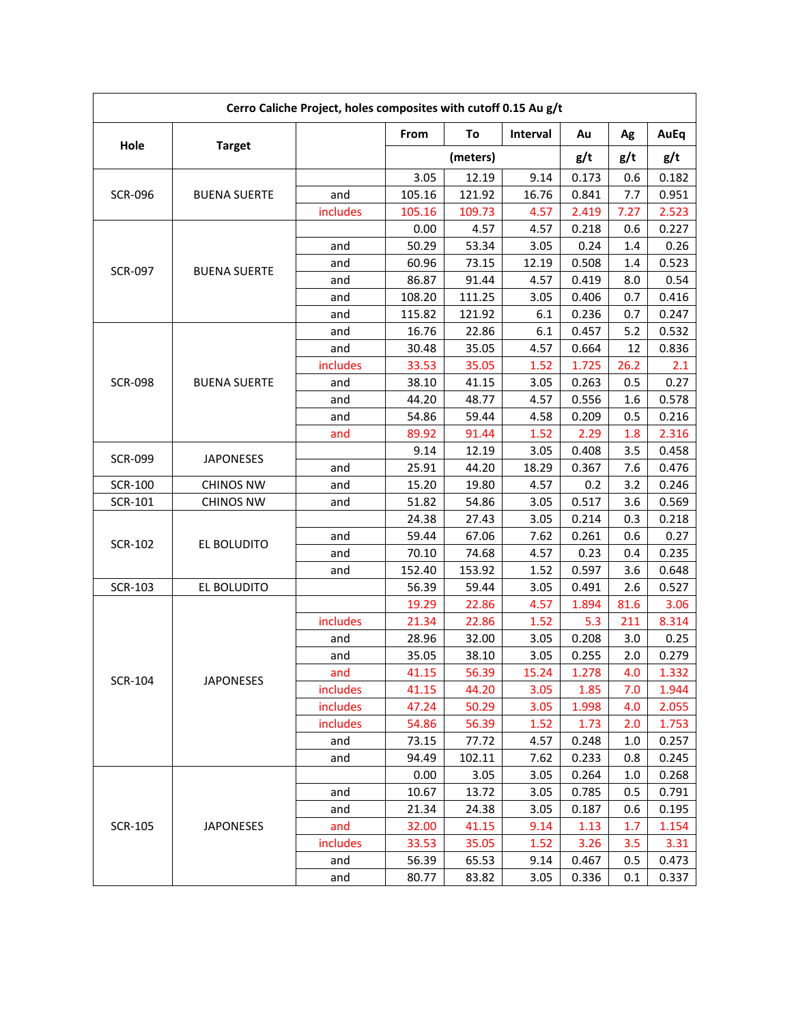| Cerro Caliche Project, holes composites with cutoff 0.15 Au g/t |                     |          |          |        |          |       |         |       |  |
|-----------------------------------------------------------------|---------------------|----------|----------|--------|----------|-------|---------|-------|--|
| Hole                                                            | <b>Target</b>       |          | From     | To     | Interval | Au    | Ag      | AuEq  |  |
|                                                                 |                     |          | (meters) |        |          | g/t   | g/t     | g/t   |  |
| <b>SCR-096</b>                                                  | <b>BUENA SUERTE</b> |          | 3.05     | 12.19  | 9.14     | 0.173 | 0.6     | 0.182 |  |
|                                                                 |                     | and      | 105.16   | 121.92 | 16.76    | 0.841 | 7.7     | 0.951 |  |
|                                                                 |                     | includes | 105.16   | 109.73 | 4.57     | 2.419 | 7.27    | 2.523 |  |
|                                                                 | <b>BUENA SUERTE</b> |          | 0.00     | 4.57   | 4.57     | 0.218 | 0.6     | 0.227 |  |
| <b>SCR-097</b>                                                  |                     | and      | 50.29    | 53.34  | 3.05     | 0.24  | 1.4     | 0.26  |  |
|                                                                 |                     | and      | 60.96    | 73.15  | 12.19    | 0.508 | 1.4     | 0.523 |  |
|                                                                 |                     | and      | 86.87    | 91.44  | 4.57     | 0.419 | 8.0     | 0.54  |  |
|                                                                 |                     | and      | 108.20   | 111.25 | 3.05     | 0.406 | 0.7     | 0.416 |  |
|                                                                 |                     | and      | 115.82   | 121.92 | 6.1      | 0.236 | 0.7     | 0.247 |  |
|                                                                 |                     | and      | 16.76    | 22.86  | 6.1      | 0.457 | 5.2     | 0.532 |  |
|                                                                 |                     | and      | 30.48    | 35.05  | 4.57     | 0.664 | 12      | 0.836 |  |
|                                                                 |                     | includes | 33.53    | 35.05  | 1.52     | 1.725 | 26.2    | 2.1   |  |
| <b>SCR-098</b>                                                  | <b>BUENA SUERTE</b> | and      | 38.10    | 41.15  | 3.05     | 0.263 | 0.5     | 0.27  |  |
|                                                                 |                     | and      | 44.20    | 48.77  | 4.57     | 0.556 | $1.6\,$ | 0.578 |  |
|                                                                 |                     | and      | 54.86    | 59.44  | 4.58     | 0.209 | 0.5     | 0.216 |  |
|                                                                 |                     | and      | 89.92    | 91.44  | 1.52     | 2.29  | 1.8     | 2.316 |  |
|                                                                 | <b>JAPONESES</b>    |          | 9.14     | 12.19  | 3.05     | 0.408 | 3.5     | 0.458 |  |
| <b>SCR-099</b>                                                  |                     | and      | 25.91    | 44.20  | 18.29    | 0.367 | 7.6     | 0.476 |  |
| <b>SCR-100</b>                                                  | <b>CHINOS NW</b>    | and      | 15.20    | 19.80  | 4.57     | 0.2   | 3.2     | 0.246 |  |
| SCR-101                                                         | <b>CHINOS NW</b>    | and      | 51.82    | 54.86  | 3.05     | 0.517 | 3.6     | 0.569 |  |
|                                                                 | EL BOLUDITO         |          | 24.38    | 27.43  | 3.05     | 0.214 | 0.3     | 0.218 |  |
| <b>SCR-102</b>                                                  |                     | and      | 59.44    | 67.06  | 7.62     | 0.261 | 0.6     | 0.27  |  |
|                                                                 |                     | and      | 70.10    | 74.68  | 4.57     | 0.23  | 0.4     | 0.235 |  |
|                                                                 |                     | and      | 152.40   | 153.92 | 1.52     | 0.597 | 3.6     | 0.648 |  |
| <b>SCR-103</b>                                                  | EL BOLUDITO         |          | 56.39    | 59.44  | 3.05     | 0.491 | 2.6     | 0.527 |  |
| <b>SCR-104</b>                                                  | <b>JAPONESES</b>    |          | 19.29    | 22.86  | 4.57     | 1.894 | 81.6    | 3.06  |  |
|                                                                 |                     | includes | 21.34    | 22.86  | 1.52     | 5.3   | 211     | 8.314 |  |
|                                                                 |                     | and      | 28.96    | 32.00  | 3.05     | 0.208 | 3.0     | 0.25  |  |
|                                                                 |                     | and      | 35.05    | 38.10  | 3.05     | 0.255 | 2.0     | 0.279 |  |
|                                                                 |                     | and      | 41.15    | 56.39  | 15.24    | 1.278 | 4.0     | 1.332 |  |
|                                                                 |                     | includes | 41.15    | 44.20  | 3.05     | 1.85  | 7.0     | 1.944 |  |
|                                                                 |                     | includes | 47.24    | 50.29  | 3.05     | 1.998 | 4.0     | 2.055 |  |
|                                                                 |                     | includes | 54.86    | 56.39  | 1.52     | 1.73  | 2.0     | 1.753 |  |
|                                                                 |                     | and      | 73.15    | 77.72  | 4.57     | 0.248 | 1.0     | 0.257 |  |
|                                                                 |                     | and      | 94.49    | 102.11 | 7.62     | 0.233 | 0.8     | 0.245 |  |
| <b>SCR-105</b>                                                  | <b>JAPONESES</b>    |          | 0.00     | 3.05   | 3.05     | 0.264 | 1.0     | 0.268 |  |
|                                                                 |                     | and      | 10.67    | 13.72  | 3.05     | 0.785 | 0.5     | 0.791 |  |
|                                                                 |                     | and      | 21.34    | 24.38  | 3.05     | 0.187 | 0.6     | 0.195 |  |
|                                                                 |                     | and      | 32.00    | 41.15  | 9.14     | 1.13  | 1.7     | 1.154 |  |
|                                                                 |                     | includes | 33.53    | 35.05  | 1.52     | 3.26  | 3.5     | 3.31  |  |
|                                                                 |                     | and      | 56.39    | 65.53  | 9.14     | 0.467 | 0.5     | 0.473 |  |
|                                                                 |                     | and      | 80.77    | 83.82  | 3.05     | 0.336 | 0.1     | 0.337 |  |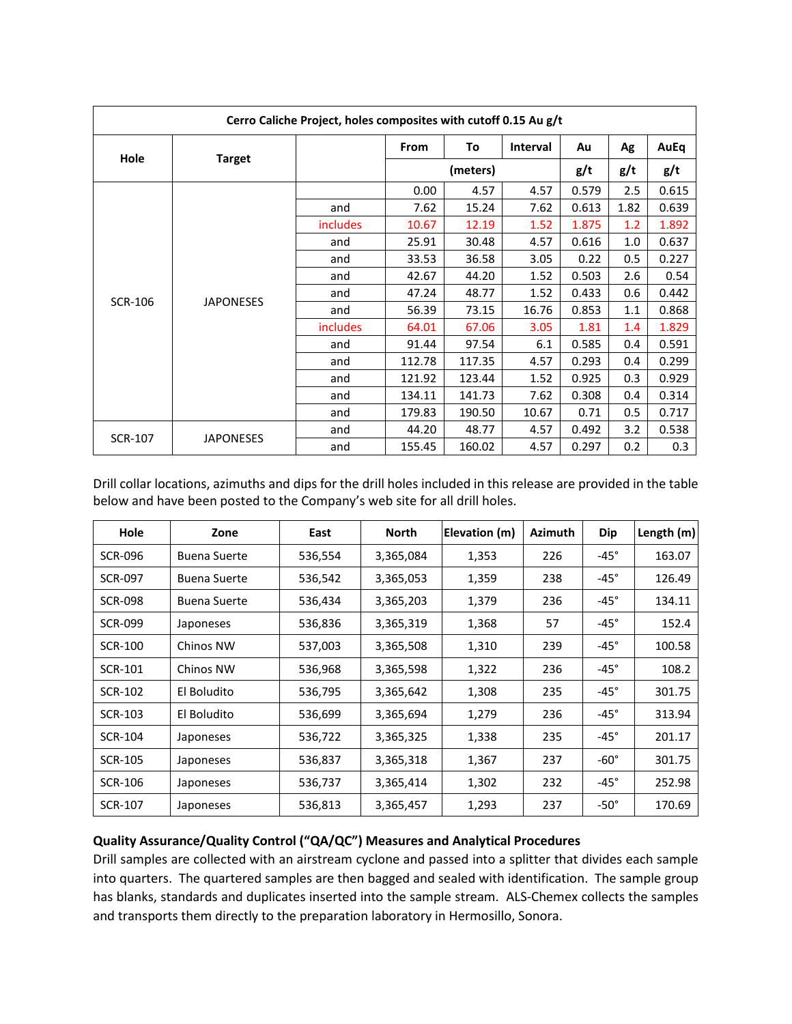| Cerro Caliche Project, holes composites with cutoff 0.15 Au g/t |                  |                 |          |        |          |       |      |       |  |
|-----------------------------------------------------------------|------------------|-----------------|----------|--------|----------|-------|------|-------|--|
| Hole                                                            | <b>Target</b>    |                 | From     | To     | Interval | Au    | Ag   | AuEq  |  |
|                                                                 |                  |                 | (meters) |        |          | g/t   | g/t  | g/t   |  |
|                                                                 | <b>JAPONESES</b> |                 | 0.00     | 4.57   | 4.57     | 0.579 | 2.5  | 0.615 |  |
|                                                                 |                  | and             | 7.62     | 15.24  | 7.62     | 0.613 | 1.82 | 0.639 |  |
| <b>SCR-106</b>                                                  |                  | <i>includes</i> | 10.67    | 12.19  | 1.52     | 1.875 | 1.2  | 1.892 |  |
|                                                                 |                  | and             | 25.91    | 30.48  | 4.57     | 0.616 | 1.0  | 0.637 |  |
|                                                                 |                  | and             | 33.53    | 36.58  | 3.05     | 0.22  | 0.5  | 0.227 |  |
|                                                                 |                  | and             | 42.67    | 44.20  | 1.52     | 0.503 | 2.6  | 0.54  |  |
|                                                                 |                  | and             | 47.24    | 48.77  | 1.52     | 0.433 | 0.6  | 0.442 |  |
|                                                                 |                  | and             | 56.39    | 73.15  | 16.76    | 0.853 | 1.1  | 0.868 |  |
|                                                                 |                  | includes        | 64.01    | 67.06  | 3.05     | 1.81  | 1.4  | 1.829 |  |
|                                                                 |                  | and             | 91.44    | 97.54  | 6.1      | 0.585 | 0.4  | 0.591 |  |
|                                                                 |                  | and             | 112.78   | 117.35 | 4.57     | 0.293 | 0.4  | 0.299 |  |
|                                                                 |                  | and             | 121.92   | 123.44 | 1.52     | 0.925 | 0.3  | 0.929 |  |
|                                                                 |                  | and             | 134.11   | 141.73 | 7.62     | 0.308 | 0.4  | 0.314 |  |
|                                                                 |                  | and             | 179.83   | 190.50 | 10.67    | 0.71  | 0.5  | 0.717 |  |
| <b>SCR-107</b>                                                  | <b>JAPONESES</b> | and             | 44.20    | 48.77  | 4.57     | 0.492 | 3.2  | 0.538 |  |
|                                                                 |                  | and             | 155.45   | 160.02 | 4.57     | 0.297 | 0.2  | 0.3   |  |

Drill collar locations, azimuths and dips for the drill holes included in this release are provided in the table below and have been posted to the Company's web site for all drill holes.

| Hole           | Zone                | East    | North     | Elevation (m) | <b>Azimuth</b> | <b>Dip</b>  | Length (m) |
|----------------|---------------------|---------|-----------|---------------|----------------|-------------|------------|
| <b>SCR-096</b> | <b>Buena Suerte</b> | 536,554 | 3,365,084 | 1,353         | 226            | $-45^\circ$ | 163.07     |
| <b>SCR-097</b> | <b>Buena Suerte</b> | 536,542 | 3,365,053 | 1,359         | 238            | $-45^\circ$ | 126.49     |
| <b>SCR-098</b> | <b>Buena Suerte</b> | 536,434 | 3,365,203 | 1,379         | 236            | $-45^\circ$ | 134.11     |
| <b>SCR-099</b> | Japoneses           | 536,836 | 3,365,319 | 1,368         | 57             | $-45^\circ$ | 152.4      |
| <b>SCR-100</b> | Chinos NW           | 537,003 | 3,365,508 | 1,310         | 239            | $-45^\circ$ | 100.58     |
| <b>SCR-101</b> | Chinos NW           | 536,968 | 3,365,598 | 1,322         | 236            | $-45^\circ$ | 108.2      |
| SCR-102        | El Boludito         | 536,795 | 3,365,642 | 1,308         | 235            | $-45^\circ$ | 301.75     |
| <b>SCR-103</b> | El Boludito         | 536,699 | 3,365,694 | 1,279         | 236            | $-45^\circ$ | 313.94     |
| <b>SCR-104</b> | Japoneses           | 536,722 | 3,365,325 | 1,338         | 235            | $-45^\circ$ | 201.17     |
| <b>SCR-105</b> | Japoneses           | 536,837 | 3,365,318 | 1,367         | 237            | $-60^\circ$ | 301.75     |
| <b>SCR-106</b> | Japoneses           | 536,737 | 3,365,414 | 1,302         | 232            | $-45^\circ$ | 252.98     |
| SCR-107        | Japoneses           | 536,813 | 3,365,457 | 1,293         | 237            | $-50^\circ$ | 170.69     |

## **Quality Assurance/Quality Control ("QA/QC") Measures and Analytical Procedures**

Drill samples are collected with an airstream cyclone and passed into a splitter that divides each sample into quarters. The quartered samples are then bagged and sealed with identification. The sample group has blanks, standards and duplicates inserted into the sample stream. ALS-Chemex collects the samples and transports them directly to the preparation laboratory in Hermosillo, Sonora.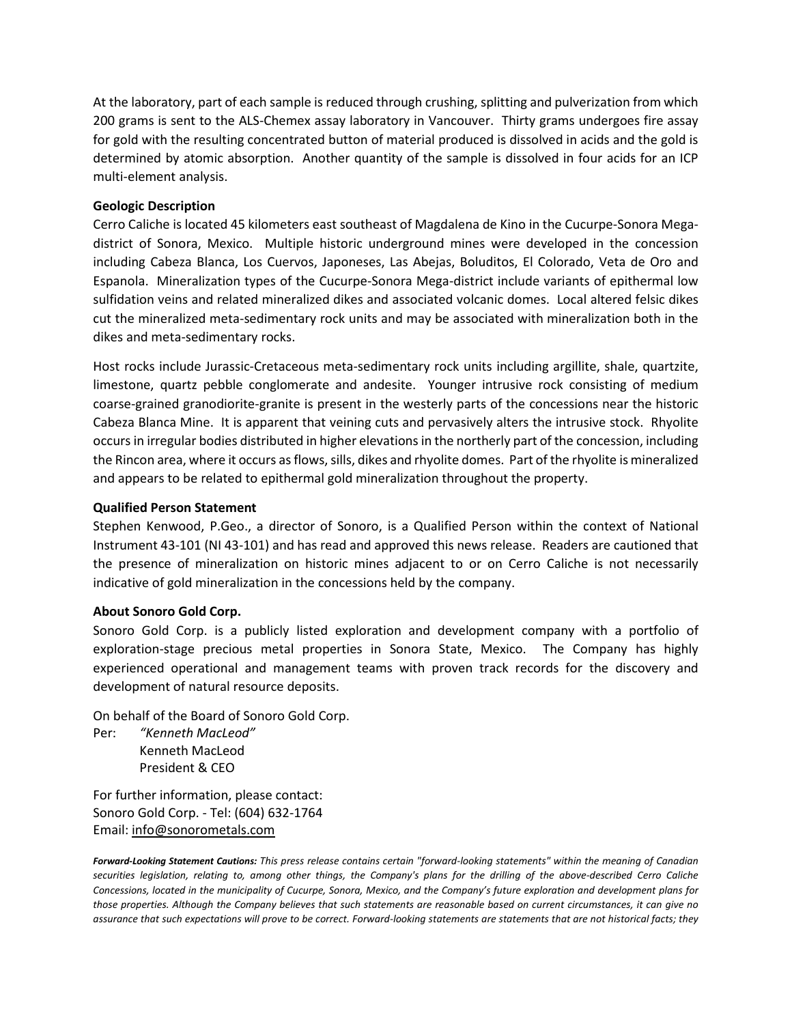At the laboratory, part of each sample is reduced through crushing, splitting and pulverization from which 200 grams is sent to the ALS-Chemex assay laboratory in Vancouver. Thirty grams undergoes fire assay for gold with the resulting concentrated button of material produced is dissolved in acids and the gold is determined by atomic absorption. Another quantity of the sample is dissolved in four acids for an ICP multi-element analysis.

#### **Geologic Description**

Cerro Caliche is located 45 kilometers east southeast of Magdalena de Kino in the Cucurpe-Sonora Megadistrict of Sonora, Mexico. Multiple historic underground mines were developed in the concession including Cabeza Blanca, Los Cuervos, Japoneses, Las Abejas, Boluditos, El Colorado, Veta de Oro and Espanola. Mineralization types of the Cucurpe-Sonora Mega-district include variants of epithermal low sulfidation veins and related mineralized dikes and associated volcanic domes. Local altered felsic dikes cut the mineralized meta-sedimentary rock units and may be associated with mineralization both in the dikes and meta-sedimentary rocks.

Host rocks include Jurassic-Cretaceous meta-sedimentary rock units including argillite, shale, quartzite, limestone, quartz pebble conglomerate and andesite. Younger intrusive rock consisting of medium coarse-grained granodiorite-granite is present in the westerly parts of the concessions near the historic Cabeza Blanca Mine. It is apparent that veining cuts and pervasively alters the intrusive stock. Rhyolite occurs in irregular bodies distributed in higher elevations in the northerly part of the concession, including the Rincon area, where it occurs as flows, sills, dikes and rhyolite domes. Part of the rhyolite is mineralized and appears to be related to epithermal gold mineralization throughout the property.

#### **Qualified Person Statement**

Stephen Kenwood, P.Geo., a director of Sonoro, is a Qualified Person within the context of National Instrument 43-101 (NI 43-101) and has read and approved this news release. Readers are cautioned that the presence of mineralization on historic mines adjacent to or on Cerro Caliche is not necessarily indicative of gold mineralization in the concessions held by the company.

## **About Sonoro Gold Corp.**

Sonoro Gold Corp. is a publicly listed exploration and development company with a portfolio of exploration-stage precious metal properties in Sonora State, Mexico. The Company has highly experienced operational and management teams with proven track records for the discovery and development of natural resource deposits.

On behalf of the Board of Sonoro Gold Corp.

Per: *"Kenneth MacLeod"* Kenneth MacLeod President & CEO

For further information, please contact: Sonoro Gold Corp. - Tel: (604) 632-1764 Email: info@sonorometals.com

*Forward-Looking Statement Cautions: This press release contains certain "forward-looking statements" within the meaning of Canadian securities legislation, relating to, among other things, the Company's plans for the drilling of the above-described Cerro Caliche Concessions, located in the municipality of Cucurpe, Sonora, Mexico, and the Company's future exploration and development plans for those properties. Although the Company believes that such statements are reasonable based on current circumstances, it can give no assurance that such expectations will prove to be correct. Forward-looking statements are statements that are not historical facts; they*